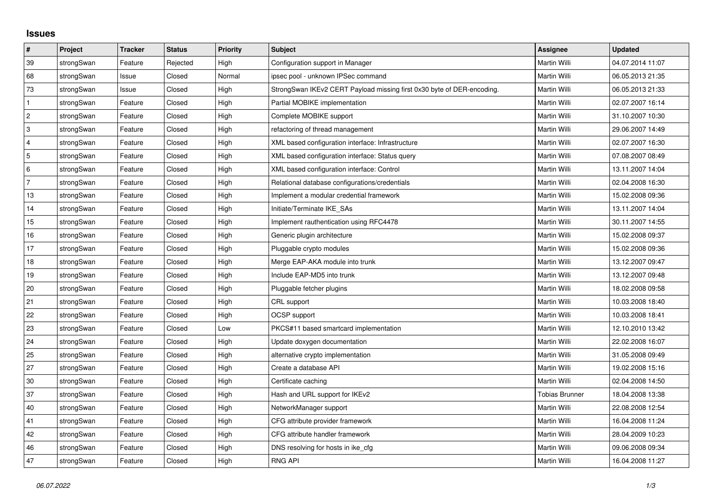## **Issues**

| #              | Project    | <b>Tracker</b> | <b>Status</b> | <b>Priority</b> | <b>Subject</b>                                                         | <b>Assignee</b>       | <b>Updated</b>   |
|----------------|------------|----------------|---------------|-----------------|------------------------------------------------------------------------|-----------------------|------------------|
| 39             | strongSwan | Feature        | Rejected      | High            | Configuration support in Manager                                       | Martin Willi          | 04.07.2014 11:07 |
| 68             | strongSwan | Issue          | Closed        | Normal          | ipsec pool - unknown IPSec command                                     | Martin Willi          | 06.05.2013 21:35 |
| $73\,$         | strongSwan | Issue          | Closed        | High            | StrongSwan IKEv2 CERT Payload missing first 0x30 byte of DER-encoding. | Martin Willi          | 06.05.2013 21:33 |
| $\mathbf{1}$   | strongSwan | Feature        | Closed        | High            | Partial MOBIKE implementation                                          | Martin Willi          | 02.07.2007 16:14 |
| $\overline{2}$ | strongSwan | Feature        | Closed        | High            | Complete MOBIKE support                                                | Martin Willi          | 31.10.2007 10:30 |
| 3              | strongSwan | Feature        | Closed        | High            | refactoring of thread management                                       | Martin Willi          | 29.06.2007 14:49 |
| $\overline{4}$ | strongSwan | Feature        | Closed        | High            | XML based configuration interface: Infrastructure                      | Martin Willi          | 02.07.2007 16:30 |
| 5              | strongSwan | Feature        | Closed        | High            | XML based configuration interface: Status query                        | Martin Willi          | 07.08.2007 08:49 |
| 6              | strongSwan | Feature        | Closed        | High            | XML based configuration interface: Control                             | Martin Willi          | 13.11.2007 14:04 |
| $\overline{7}$ | strongSwan | Feature        | Closed        | High            | Relational database configurations/credentials                         | <b>Martin Willi</b>   | 02.04.2008 16:30 |
| 13             | strongSwan | Feature        | Closed        | High            | Implement a modular credential framework                               | Martin Willi          | 15.02.2008 09:36 |
| 14             | strongSwan | Feature        | Closed        | High            | Initiate/Terminate IKE_SAs                                             | Martin Willi          | 13.11.2007 14:04 |
| 15             | strongSwan | Feature        | Closed        | High            | Implement rauthentication using RFC4478                                | Martin Willi          | 30.11.2007 14:55 |
| 16             | strongSwan | Feature        | Closed        | High            | Generic plugin architecture                                            | Martin Willi          | 15.02.2008 09:37 |
| 17             | strongSwan | Feature        | Closed        | High            | Pluggable crypto modules                                               | Martin Willi          | 15.02.2008 09:36 |
| 18             | strongSwan | Feature        | Closed        | High            | Merge EAP-AKA module into trunk                                        | Martin Willi          | 13.12.2007 09:47 |
| $19$           | strongSwan | Feature        | Closed        | High            | Include EAP-MD5 into trunk                                             | Martin Willi          | 13.12.2007 09:48 |
| 20             | strongSwan | Feature        | Closed        | High            | Pluggable fetcher plugins                                              | Martin Willi          | 18.02.2008 09:58 |
| 21             | strongSwan | Feature        | Closed        | High            | CRL support                                                            | Martin Willi          | 10.03.2008 18:40 |
| 22             | strongSwan | Feature        | Closed        | High            | OCSP support                                                           | Martin Willi          | 10.03.2008 18:41 |
| 23             | strongSwan | Feature        | Closed        | Low             | PKCS#11 based smartcard implementation                                 | Martin Willi          | 12.10.2010 13:42 |
| $ 24\rangle$   | strongSwan | Feature        | Closed        | High            | Update doxygen documentation                                           | Martin Willi          | 22.02.2008 16:07 |
| 25             | strongSwan | Feature        | Closed        | High            | alternative crypto implementation                                      | Martin Willi          | 31.05.2008 09:49 |
| 27             | strongSwan | Feature        | Closed        | High            | Create a database API                                                  | Martin Willi          | 19.02.2008 15:16 |
| 30             | strongSwan | Feature        | Closed        | High            | Certificate caching                                                    | Martin Willi          | 02.04.2008 14:50 |
| 37             | strongSwan | Feature        | Closed        | High            | Hash and URL support for IKEv2                                         | <b>Tobias Brunner</b> | 18.04.2008 13:38 |
| 40             | strongSwan | Feature        | Closed        | High            | NetworkManager support                                                 | Martin Willi          | 22.08.2008 12:54 |
| 41             | strongSwan | Feature        | Closed        | High            | CFG attribute provider framework                                       | Martin Willi          | 16.04.2008 11:24 |
| 42             | strongSwan | Feature        | Closed        | High            | CFG attribute handler framework                                        | Martin Willi          | 28.04.2009 10:23 |
| 46             | strongSwan | Feature        | Closed        | High            | DNS resolving for hosts in ike_cfg                                     | Martin Willi          | 09.06.2008 09:34 |
| 47             | strongSwan | Feature        | Closed        | High            | <b>RNG API</b>                                                         | <b>Martin Willi</b>   | 16.04.2008 11:27 |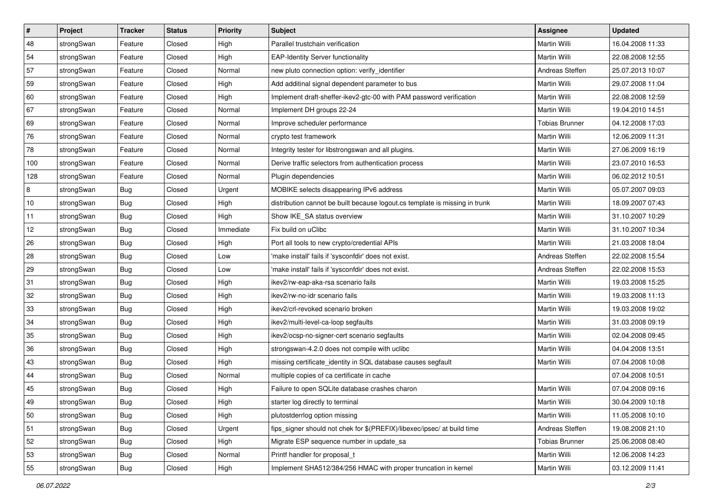| $\sharp$ | Project    | <b>Tracker</b> | <b>Status</b> | Priority  | <b>Subject</b>                                                              | <b>Assignee</b>       | <b>Updated</b>   |
|----------|------------|----------------|---------------|-----------|-----------------------------------------------------------------------------|-----------------------|------------------|
| 48       | strongSwan | Feature        | Closed        | High      | Parallel trustchain verification                                            | Martin Willi          | 16.04.2008 11:33 |
| 54       | strongSwan | Feature        | Closed        | High      | <b>EAP-Identity Server functionality</b>                                    | Martin Willi          | 22.08.2008 12:55 |
| 57       | strongSwan | Feature        | Closed        | Normal    | new pluto connection option: verify identifier                              | Andreas Steffen       | 25.07.2013 10:07 |
| 59       | strongSwan | Feature        | Closed        | High      | Add additinal signal dependent parameter to bus                             | Martin Willi          | 29.07.2008 11:04 |
| 60       | strongSwan | Feature        | Closed        | High      | Implement draft-sheffer-ikev2-gtc-00 with PAM password verification         | Martin Willi          | 22.08.2008 12:59 |
| 67       | strongSwan | Feature        | Closed        | Normal    | Implement DH groups 22-24                                                   | Martin Willi          | 19.04.2010 14:51 |
| 69       | strongSwan | Feature        | Closed        | Normal    | Improve scheduler performance                                               | <b>Tobias Brunner</b> | 04.12.2008 17:03 |
| 76       | strongSwan | Feature        | Closed        | Normal    | crypto test framework                                                       | Martin Willi          | 12.06.2009 11:31 |
| 78       | strongSwan | Feature        | Closed        | Normal    | Integrity tester for libstrongswan and all plugins.                         | Martin Willi          | 27.06.2009 16:19 |
| 100      | strongSwan | Feature        | Closed        | Normal    | Derive traffic selectors from authentication process                        | Martin Willi          | 23.07.2010 16:53 |
| 128      | strongSwan | Feature        | Closed        | Normal    | Plugin dependencies                                                         | Martin Willi          | 06.02.2012 10:51 |
| 8        | strongSwan | <b>Bug</b>     | Closed        | Urgent    | MOBIKE selects disappearing IPv6 address                                    | Martin Willi          | 05.07.2007 09:03 |
| 10       | strongSwan | <b>Bug</b>     | Closed        | High      | distribution cannot be built because logout.cs template is missing in trunk | Martin Willi          | 18.09.2007 07:43 |
| 11       | strongSwan | Bug            | Closed        | High      | Show IKE SA status overview                                                 | Martin Willi          | 31.10.2007 10:29 |
| 12       | strongSwan | <b>Bug</b>     | Closed        | Immediate | Fix build on uClibc                                                         | Martin Willi          | 31.10.2007 10:34 |
| 26       | strongSwan | Bug            | Closed        | High      | Port all tools to new crypto/credential APIs                                | Martin Willi          | 21.03.2008 18:04 |
| 28       | strongSwan | <b>Bug</b>     | Closed        | Low       | 'make install' fails if 'sysconfdir' does not exist.                        | Andreas Steffen       | 22.02.2008 15:54 |
| 29       | strongSwan | <b>Bug</b>     | Closed        | Low       | 'make install' fails if 'sysconfdir' does not exist.                        | Andreas Steffen       | 22.02.2008 15:53 |
| 31       | strongSwan | Bug            | Closed        | High      | ikev2/rw-eap-aka-rsa scenario fails                                         | Martin Willi          | 19.03.2008 15:25 |
| 32       | strongSwan | Bug            | Closed        | High      | ikev2/rw-no-idr scenario fails                                              | Martin Willi          | 19.03.2008 11:13 |
| 33       | strongSwan | <b>Bug</b>     | Closed        | High      | ikev2/crl-revoked scenario broken                                           | Martin Willi          | 19.03.2008 19:02 |
| 34       | strongSwan | <b>Bug</b>     | Closed        | High      | ikev2/multi-level-ca-loop segfaults                                         | Martin Willi          | 31.03.2008 09:19 |
| 35       | strongSwan | <b>Bug</b>     | Closed        | High      | ikev2/ocsp-no-signer-cert scenario segfaults                                | Martin Willi          | 02.04.2008 09:45 |
| 36       | strongSwan | Bug            | Closed        | High      | strongswan-4.2.0 does not compile with uclibc                               | Martin Willi          | 04.04.2008 13:51 |
| 43       | strongSwan | <b>Bug</b>     | Closed        | High      | missing certificate_identity in SQL database causes segfault                | Martin Willi          | 07.04.2008 10:08 |
| 44       | strongSwan | <b>Bug</b>     | Closed        | Normal    | multiple copies of ca certificate in cache                                  |                       | 07.04.2008 10:51 |
| 45       | strongSwan | Bug            | Closed        | High      | Failure to open SQLite database crashes charon                              | Martin Willi          | 07.04.2008 09:16 |
| 49       | strongSwan | Bug            | Closed        | High      | starter log directly to terminal                                            | Martin Willi          | 30.04.2009 10:18 |
| 50       | strongSwan | Bug            | Closed        | High      | plutostderrlog option missing                                               | Martin Willi          | 11.05.2008 10:10 |
| 51       | strongSwan | Bug            | Closed        | Urgent    | fips_signer should not chek for \$(PREFIX)/libexec/ipsec/ at build time     | Andreas Steffen       | 19.08.2008 21:10 |
| 52       | strongSwan | <b>Bug</b>     | Closed        | High      | Migrate ESP sequence number in update_sa                                    | <b>Tobias Brunner</b> | 25.06.2008 08:40 |
| 53       | strongSwan | Bug            | Closed        | Normal    | Printf handler for proposal t                                               | Martin Willi          | 12.06.2008 14:23 |
| 55       | strongSwan | Bug            | Closed        | High      | Implement SHA512/384/256 HMAC with proper truncation in kernel              | Martin Willi          | 03.12.2009 11:41 |